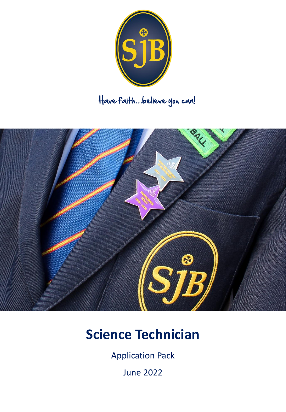

## Have faith…believe you can!



# **Science Technician**

Application Pack

June 2022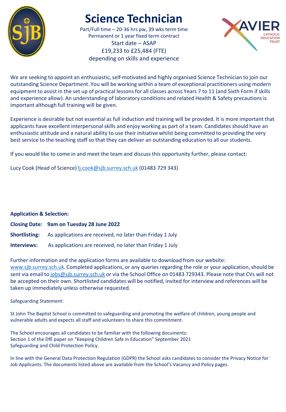

## **Science Technician**

Part/Full time – 20-36 hrs pw, 39 wks term time Permanent or 1 year fixed term contract Start date – ASAP £19,233 to £25,484 (FTE) depending on skills and experience



We are seeking to appoint an enthusiastic, self-motivated and highly organised Science Technician to join our outstanding Science Department. You will be working within a team of exceptional practitioners using modern equipment to assist in the set up of practical lessons for all classes across Years 7 to 11 (and Sixth Form if skills and experience allow). An understanding of laboratory conditions and related Health & Safety precautions is important although full training will be given.

Experience is desirable but not essential as full induction and training will be provided. It is more important that applicants have excellent interpersonal skills and enjoy working as part of a team. Candidates should have an enthusiastic attitude and a natural ability to use their initiative whilst being committed to providing the very best service to the teaching staff so that they can deliver an outstanding education to all our students.

If you would like to come in and meet the team and discuss this opportunity further, please contact:

Lucy Cook (Head of Science) *lj.cook@sjb.surrey.sch.uk* (01483 729 343)

#### **Application & Selection:**

|             | Closing Date: 9am on Tuesday 28 June 2022                                      |
|-------------|--------------------------------------------------------------------------------|
|             | <b>Shortlisting:</b> As applications are received, no later than Friday 1 July |
| Interviews: | As applications are received, no later than Friday 1 July                      |

Further information and the application forms are available to download from our website: [www.sjb.surrey.sch.uk.](https://www.sjb.surrey.sch.uk/index.php) Completed applications, or any queries regarding the role or your application, should be sent via email to [jobs@sjb.surrey.sch.uk](mailto:jobs@sjb.surrey.sch.uk) or via the School Office on 01483 729343. Please note that CVs will not be accepted on their own. Shortlisted candidates will be notified, invited for interview and references will be taken up immediately unless otherwise requested.

#### Safeguarding Statement:

St John The Baptist School is committed to safeguarding and promoting the welfare of children, young people and vulnerable adults and expects all staff and volunteers to share this commitment.

The School encourages all candidates to be familiar with the following documents: Section 1 of the DfE paper on "Keeping Children Safe in Education" September 2021 Safeguarding and Child Protection Policy.

In line with the General Data Protection Regulation (GDPR) the School asks candidates to consider the Privacy Notice for Job Applicants. The documents listed above are available from the School's Vacancy and Policy pages.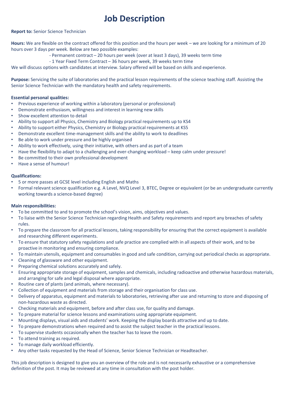### **Job Description**

#### **Report to:** Senior Science Technician

**Hours:** We are flexible on the contract offered for this position and the hours per week – we are looking for a minimum of 20 hours over 3 days per week. Below are two possible examples:

- Permanent contract – 20 hours per week (over at least 3 days), 39 weeks term time

- 1 Year Fixed Term Contract – 36 hours per week, 39 weeks term time

We will discuss options with candidates at interview. Salary offered will be based on skills and experience.

**Purpose:** Servicing the suite of laboratories and the practical lesson requirements of the science teaching staff. Assisting the Senior Science Technician with the mandatory health and safety requirements.

#### **Essential personal qualities:**

- Previous experience of working within a laboratory (personal or professional)
- Demonstrate enthusiasm, willingness and interest in learning new skills
- Show excellent attention to detail
- Ability to support all Physics, Chemistry and Biology practical requirements up to KS4
- Ability to support either Physics, Chemistry or Biology practical requirements at KS5
- Demonstrate excellent time-management skills and the ability to work to deadlines
- Be able to work under pressure and be highly organised
- Ability to work effectively, using their initiative, with others and as part of a team
- Have the flexibility to adapt to a challenging and ever-changing workload keep calm under pressure!
- Be committed to their own professional development
- Have a sense of humour!

#### **Qualifications:**

- 5 or more passes at GCSE level including English and Maths
- Formal relevant science qualification e.g. A Level, NVQ Level 3, BTEC, Degree or equivalent (or be an undergraduate currently working towards a science-based degree)

#### **Main responsibilities:**

- To be committed to and to promote the school's vision, aims, objectives and values.
- To liaise with the Senior Science Technician regarding Health and Safety requirements and report any breaches of safety rules.
- To prepare the classroom for all practical lessons, taking responsibility for ensuring that the correct equipment is available and researching different experiments.
- To ensure that statutory safety regulations and safe practice are complied with in all aspects of their work, and to be proactive in monitoring and ensuring compliance.
- To maintain utensils, equipment and consumables in good and safe condition, carrying out periodical checks as appropriate.
- Cleaning of glassware and other equipment.
- Preparing chemical solutions accurately and safely.
- Ensuring appropriate storage of equipment, samples and chemicals, including radioactive and otherwise hazardous materials, and arranging for safe and legal disposal where appropriate.
- Routine care of plants (and animals, where necessary).
- Collection of equipment and materials from storage and their organisation for class use.
- Delivery of apparatus, equipment and materials to laboratories, retrieving after use and returning to store and disposing of non-hazardous waste as directed.
- Checking materials and equipment, before and after class use, for quality and damage.
- To prepare material for science lessons and examinations using appropriate equipment.
- Mounting displays, visual aids and students' work. Keeping the display boards attractive and up to date.
- To prepare demonstrations when required and to assist the subject teacher in the practical lessons.
- To supervise students occasionally when the teacher has to leave the room.
- To attend training as required.
- To manage daily workload efficiently.
- Any other tasks requested by the Head of Science, Senior Science Technician or Headteacher.

This job description is designed to give you an overview of the role and is not necessarily exhaustive or a comprehensive definition of the post. It may be reviewed at any time in consultation with the post holder.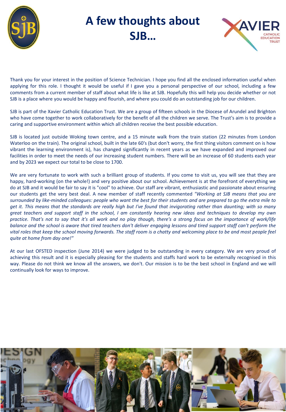

## **A few thoughts about SJB…**



Thank you for your interest in the position of Science Technician. I hope you find all the enclosed information useful when applying for this role. I thought it would be useful if I gave you a personal perspective of our school, including a few comments from a current member of staff about what life is like at SJB. Hopefully this will help you decide whether or not SJB is a place where you would be happy and flourish, and where you could do an outstanding job for our children.

SJB is part of the Xavier Catholic Education Trust. We are a group of fifteen schools in the Diocese of Arundel and Brighton who have come together to work collaboratively for the benefit of all the children we serve. The Trust's aim is to provide a caring and supportive environment within which all children receive the best possible education.

SJB is located just outside Woking town centre, and a 15 minute walk from the train station (22 minutes from London Waterloo on the train). The original school, built in the late 60's (but don't worry, the first thing visitors comment on is how vibrant the learning environment is), has changed significantly in recent years as we have expanded and improved our facilities in order to meet the needs of our increasing student numbers. There will be an increase of 60 students each year and by 2023 we expect our total to be close to 1700.

We are very fortunate to work with such a brilliant group of students. If you come to visit us, you will see that they are happy, hard-working (on the whole!) and very positive about our school. Achievement is at the forefront of everything we do at SJB and it would be fair to say it is "cool" to achieve. Our staff are vibrant, enthusiastic and passionate about ensuring our students get the very best deal. A new member of staff recently commented *"Working at SJB means that you are* surrounded by like-minded colleagues: people who want the best for their students and are prepared to go the extra mile to get it. This means that the standards are really high but I've found that invigorating rather than daunting; with so many great teachers and support staff in the school, I am constantly hearing new ideas and techniques to develop my own practice. That's not to say that it's all work and no play though, there's a strong focus on the importance of work/life balance and the school is aware that tired teachers don't deliver engaging lessons and tired support staff can't perform the vital roles that keep the school moving forwards. The staff room is a chatty and welcoming place to be and most people feel *quite at home from day one!"*

At our last OFSTED inspection (June 2014) we were judged to be outstanding in every category. We are very proud of achieving this result and it is especially pleasing for the students and staffs hard work to be externally recognised in this way. Please do not think we know all the answers, we don't. Our mission is to be the best school in England and we will continually look for ways to improve.